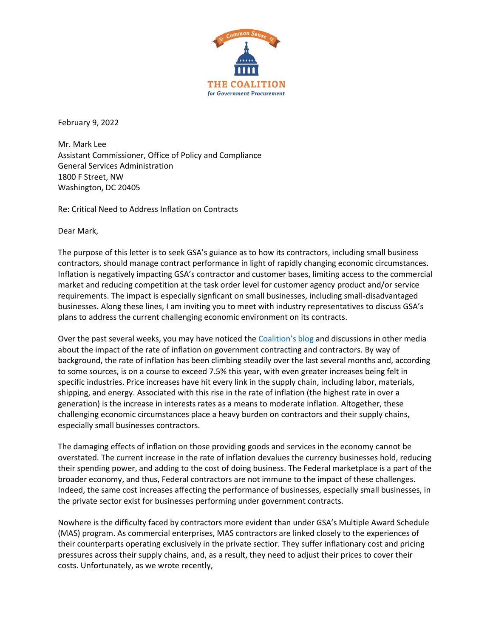

February 9, 2022

Mr. Mark Lee Assistant Commissioner, Office of Policy and Compliance General Services Administration 1800 F Street, NW Washington, DC 20405

Re: Critical Need to Address Inflation on Contracts

Dear Mark,

The purpose of this letter is to seek GSA's guiance as to how its contractors, including small business contractors, should manage contract performance in light of rapidly changing economic circumstances. Inflation is negatively impacting GSA's contractor and customer bases, limiting access to the commercial market and reducing competition at the task order level for customer agency product and/or service requirements. The impact is especially signficant on small businesses, including small-disadvantaged businesses. Along these lines, I am inviting you to meet with industry representatives to discuss GSA's plans to address the current challenging economic environment on its contracts.

Over the past several weeks, you may have noticed the [Coalition](https://thecgp.org/addressing-the-impact-of-inflation-on-government-contracts.html)'s blog and discussions in other media about the impact of the rate of inflation on government contracting and contractors. By way of background, the rate of inflation has been climbing steadily over the last several months and, according to some sources, is on a course to exceed 7.5% this year, with even greater increases being felt in specific industries. Price increases have hit every link in the supply chain, including labor, materials, shipping, and energy. Associated with this rise in the rate of inflation (the highest rate in over a generation) is the increase in interests rates as a means to moderate inflation. Altogether, these challenging economic circumstances place a heavy burden on contractors and their supply chains, especially small businesses contractors.

The damaging effects of inflation on those providing goods and services in the economy cannot be overstated. The current increase in the rate of inflation devalues the currency businesses hold, reducing their spending power, and adding to the cost of doing business. The Federal marketplace is a part of the broader economy, and thus, Federal contractors are not immune to the impact of these challenges. Indeed, the same cost increases affecting the performance of businesses, especially small businesses, in the private sector exist for businesses performing under government contracts.

Nowhere is the difficulty faced by contractors more evident than under GSA's Multiple Award Schedule (MAS) program. As commercial enterprises, MAS contractors are linked closely to the experiences of their counterparts operating exclusively in the private sectior. They suffer inflationary cost and pricing pressures across their supply chains, and, as a result, they need to adjust their prices to cover their costs. Unfortunately, as we wrote recently,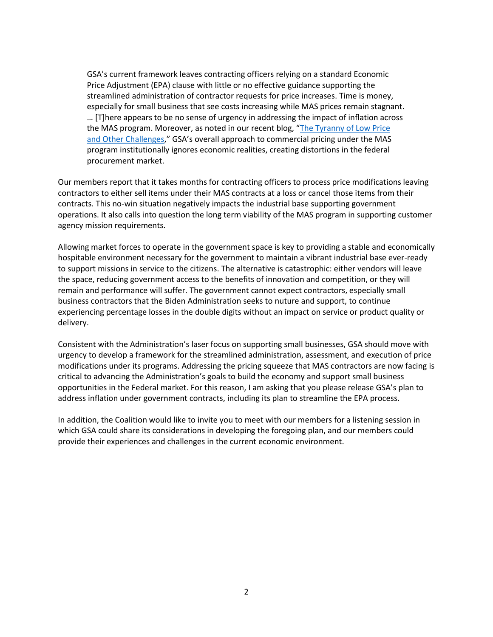GSA's current framework leaves contracting officers relying on a standard Economic Price Adjustment (EPA) clause with little or no effective guidance supporting the streamlined administration of contractor requests for price increases. Time is money, especially for small business that see costs increasing while MAS prices remain stagnant. … [T]here appears to be no sense of urgency in addressing the impact of inflation across the MAS program. Moreover, as noted in our recent blog, "[The Tyranny of Low Price](https://thecgp.org/the-tyranny-of-low-price-and-other-challenges.html)  [and Other Challenges](https://thecgp.org/the-tyranny-of-low-price-and-other-challenges.html)," GSA's overall approach to commercial pricing under the MAS program institutionally ignores economic realities, creating distortions in the federal procurement market.

Our members report that it takes months for contracting officers to process price modifications leaving contractors to either sell items under their MAS contracts at a loss or cancel those items from their contracts. This no-win situation negatively impacts the industrial base supporting government operations. It also calls into question the long term viability of the MAS program in supporting customer agency mission requirements.

Allowing market forces to operate in the government space is key to providing a stable and economically hospitable environment necessary for the government to maintain a vibrant industrial base ever-ready to support missions in service to the citizens. The alternative is catastrophic: either vendors will leave the space, reducing government access to the benefits of innovation and competition, or they will remain and performance will suffer. The government cannot expect contractors, especially small business contractors that the Biden Administration seeks to nuture and support, to continue experiencing percentage losses in the double digits without an impact on service or product quality or delivery.

Consistent with the Administration's laser focus on supporting small businesses, GSA should move with urgency to develop a framework for the streamlined administration, assessment, and execution of price modifications under its programs. Addressing the pricing squeeze that MAS contractors are now facing is critical to advancing the Administration's goals to build the economy and support small business opportunities in the Federal market. For this reason, I am asking that you please release GSA's plan to address inflation under government contracts, including its plan to streamline the EPA process.

In addition, the Coalition would like to invite you to meet with our members for a listening session in which GSA could share its considerations in developing the foregoing plan, and our members could provide their experiences and challenges in the current economic environment.